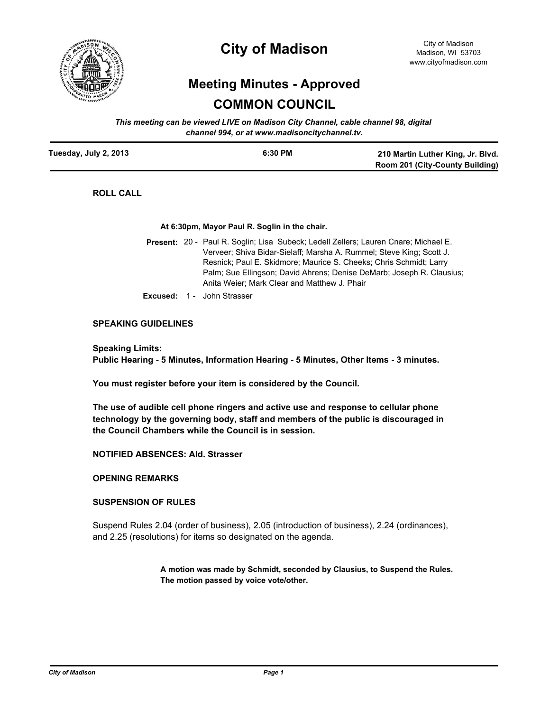

# **City of Madison**

# **Meeting Minutes - Approved COMMON COUNCIL**

*This meeting can be viewed LIVE on Madison City Channel, cable channel 98, digital channel 994, or at www.madisoncitychannel.tv.*

| Tuesday, July 2, 2013 | 6:30 PM | 210 Martin Luther King, Jr. Blvd. |
|-----------------------|---------|-----------------------------------|
|                       |         | Room 201 (City-County Building)   |

**ROLL CALL**

**At 6:30pm, Mayor Paul R. Soglin in the chair.**

- Present: 20 Paul R. Soglin; Lisa Subeck; Ledell Zellers; Lauren Cnare; Michael E. Verveer; Shiva Bidar-Sielaff; Marsha A. Rummel; Steve King; Scott J. Resnick; Paul E. Skidmore; Maurice S. Cheeks; Chris Schmidt; Larry Palm; Sue Ellingson; David Ahrens; Denise DeMarb; Joseph R. Clausius; Anita Weier; Mark Clear and Matthew J. Phair
- **Excused:** 1 John Strasser

#### **SPEAKING GUIDELINES**

**Speaking Limits: Public Hearing - 5 Minutes, Information Hearing - 5 Minutes, Other Items - 3 minutes.**

**You must register before your item is considered by the Council.**

**The use of audible cell phone ringers and active use and response to cellular phone technology by the governing body, staff and members of the public is discouraged in the Council Chambers while the Council is in session.**

**NOTIFIED ABSENCES: Ald. Strasser**

#### **OPENING REMARKS**

#### **SUSPENSION OF RULES**

Suspend Rules 2.04 (order of business), 2.05 (introduction of business), 2.24 (ordinances), and 2.25 (resolutions) for items so designated on the agenda.

> **A motion was made by Schmidt, seconded by Clausius, to Suspend the Rules. The motion passed by voice vote/other.**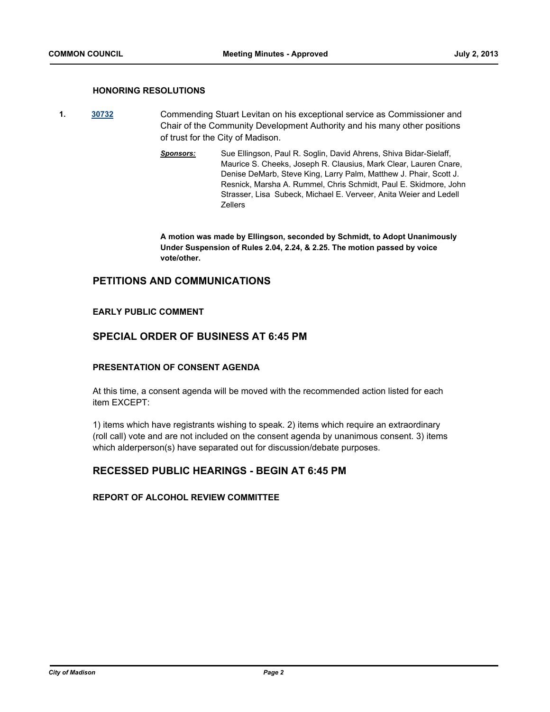#### **HONORING RESOLUTIONS**

- **1. [30732](http://madison.legistar.com/gateway.aspx?m=l&id=/matter.aspx?key=33564)** Commending Stuart Levitan on his exceptional service as Commissioner and Chair of the Community Development Authority and his many other positions of trust for the City of Madison.
	- *Sponsors:* Sue Ellingson, Paul R. Soglin, David Ahrens, Shiva Bidar-Sielaff, Maurice S. Cheeks, Joseph R. Clausius, Mark Clear, Lauren Cnare, Denise DeMarb, Steve King, Larry Palm, Matthew J. Phair, Scott J. Resnick, Marsha A. Rummel, Chris Schmidt, Paul E. Skidmore, John Strasser, Lisa Subeck, Michael E. Verveer, Anita Weier and Ledell Zellers

**A motion was made by Ellingson, seconded by Schmidt, to Adopt Unanimously Under Suspension of Rules 2.04, 2.24, & 2.25. The motion passed by voice vote/other.**

## **PETITIONS AND COMMUNICATIONS**

#### **EARLY PUBLIC COMMENT**

## **SPECIAL ORDER OF BUSINESS AT 6:45 PM**

#### **PRESENTATION OF CONSENT AGENDA**

At this time, a consent agenda will be moved with the recommended action listed for each item EXCEPT:

1) items which have registrants wishing to speak. 2) items which require an extraordinary (roll call) vote and are not included on the consent agenda by unanimous consent. 3) items which alderperson(s) have separated out for discussion/debate purposes.

## **RECESSED PUBLIC HEARINGS - BEGIN AT 6:45 PM**

#### **REPORT OF ALCOHOL REVIEW COMMITTEE**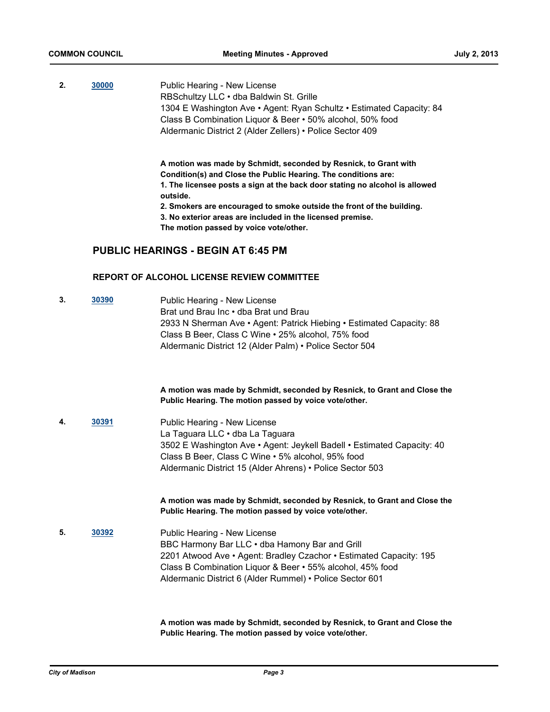**2. [30000](http://madison.legistar.com/gateway.aspx?m=l&id=/matter.aspx?key=32877)** Public Hearing - New License RBSchultzy LLC • dba Baldwin St. Grille 1304 E Washington Ave • Agent: Ryan Schultz • Estimated Capacity: 84 Class B Combination Liquor & Beer • 50% alcohol, 50% food Aldermanic District 2 (Alder Zellers) • Police Sector 409

**A motion was made by Schmidt, seconded by Resnick, to Grant with Condition(s) and Close the Public Hearing. The conditions are: 1. The licensee posts a sign at the back door stating no alcohol is allowed outside. 2. Smokers are encouraged to smoke outside the front of the building.**

**3. No exterior areas are included in the licensed premise. The motion passed by voice vote/other.**

## **PUBLIC HEARINGS - BEGIN AT 6:45 PM**

#### **REPORT OF ALCOHOL LICENSE REVIEW COMMITTEE**

**3. [30390](http://madison.legistar.com/gateway.aspx?m=l&id=/matter.aspx?key=33280)** Public Hearing - New License Brat und Brau Inc • dba Brat und Brau 2933 N Sherman Ave • Agent: Patrick Hiebing • Estimated Capacity: 88 Class B Beer, Class C Wine • 25% alcohol, 75% food Aldermanic District 12 (Alder Palm) • Police Sector 504

> **A motion was made by Schmidt, seconded by Resnick, to Grant and Close the Public Hearing. The motion passed by voice vote/other.**

**4. [30391](http://madison.legistar.com/gateway.aspx?m=l&id=/matter.aspx?key=33281)** Public Hearing - New License La Taguara LLC • dba La Taguara 3502 E Washington Ave • Agent: Jeykell Badell • Estimated Capacity: 40 Class B Beer, Class C Wine • 5% alcohol, 95% food Aldermanic District 15 (Alder Ahrens) • Police Sector 503

> **A motion was made by Schmidt, seconded by Resnick, to Grant and Close the Public Hearing. The motion passed by voice vote/other.**

**5. [30392](http://madison.legistar.com/gateway.aspx?m=l&id=/matter.aspx?key=33282)** Public Hearing - New License BBC Harmony Bar LLC • dba Hamony Bar and Grill 2201 Atwood Ave • Agent: Bradley Czachor • Estimated Capacity: 195 Class B Combination Liquor & Beer • 55% alcohol, 45% food Aldermanic District 6 (Alder Rummel) • Police Sector 601

> **A motion was made by Schmidt, seconded by Resnick, to Grant and Close the Public Hearing. The motion passed by voice vote/other.**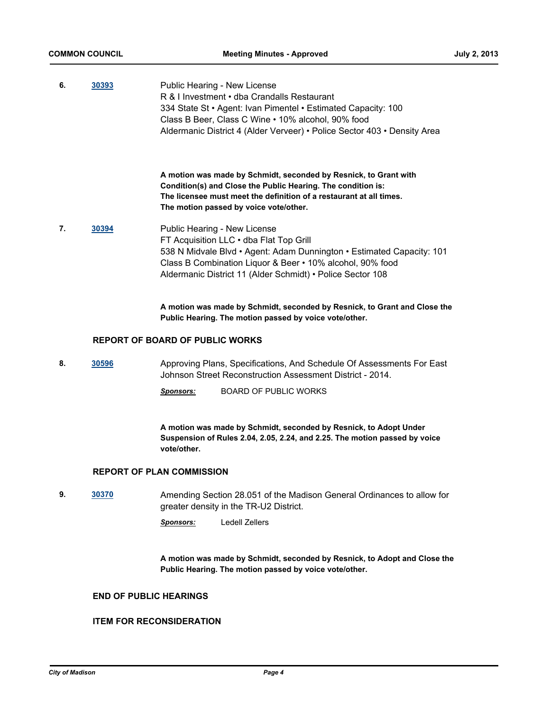| 6. | 30393 | Public Hearing - New License<br>R & I Investment . dba Crandalls Restaurant<br>334 State St • Agent: Ivan Pimentel • Estimated Capacity: 100<br>Class B Beer, Class C Wine • 10% alcohol, 90% food<br>Aldermanic District 4 (Alder Verveer) • Police Sector 403 • Density Area |
|----|-------|--------------------------------------------------------------------------------------------------------------------------------------------------------------------------------------------------------------------------------------------------------------------------------|
|    |       | A motion was made by Schmidt, seconded by Resnick, to Grant with<br>Condition(s) and Close the Public Hearing. The condition is:<br>The licensee must meet the definition of a restaurant at all times.<br>The motion passed by voice vote/other.                              |
| 7. | 30394 | Public Hearing - New License<br>FT Acquisition LLC . dba Flat Top Grill<br>538 N Midvale Blvd • Agent: Adam Dunnington • Estimated Capacity: 101<br>Class B Combination Liquor & Beer • 10% alcohol, 90% food<br>Aldermanic District 11 (Alder Schmidt) • Police Sector 108    |
|    |       | A motion was made by Schmidt, seconded by Resnick, to Grant and Close the<br>Public Hearing. The motion passed by voice vote/other.                                                                                                                                            |
|    |       | <b>REPORT OF BOARD OF PUBLIC WORKS</b>                                                                                                                                                                                                                                         |
| 8. | 30596 | Approving Plans, Specifications, And Schedule Of Assessments For East<br>Johnson Street Reconstruction Assessment District - 2014.                                                                                                                                             |
|    |       | <b>BOARD OF PUBLIC WORKS</b><br><b>Sponsors:</b>                                                                                                                                                                                                                               |
|    |       | A motion was made by Schmidt, seconded by Resnick, to Adopt Under<br>Suspension of Rules 2.04, 2.05, 2.24, and 2.25. The motion passed by voice<br>vote/other.                                                                                                                 |

## **REPORT OF PLAN COMMISSION**

**9. [30370](http://madison.legistar.com/gateway.aspx?m=l&id=/matter.aspx?key=33259)** Amending Section 28.051 of the Madison General Ordinances to allow for greater density in the TR-U2 District.

*Sponsors:* Ledell Zellers

**A motion was made by Schmidt, seconded by Resnick, to Adopt and Close the Public Hearing. The motion passed by voice vote/other.**

## **END OF PUBLIC HEARINGS**

## **ITEM FOR RECONSIDERATION**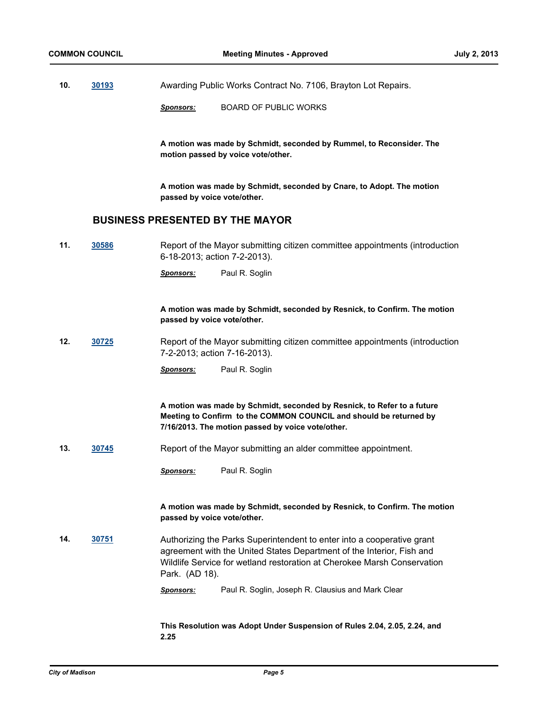- **10. [30193](http://madison.legistar.com/gateway.aspx?m=l&id=/matter.aspx?key=33077)** Awarding Public Works Contract No. 7106, Brayton Lot Repairs.
	- *Sponsors:* BOARD OF PUBLIC WORKS

**A motion was made by Schmidt, seconded by Rummel, to Reconsider. The motion passed by voice vote/other.**

**A motion was made by Schmidt, seconded by Cnare, to Adopt. The motion passed by voice vote/other.**

## **BUSINESS PRESENTED BY THE MAYOR**

**11. [30586](http://madison.legistar.com/gateway.aspx?m=l&id=/matter.aspx?key=33491)** Report of the Mayor submitting citizen committee appointments (introduction 6-18-2013; action 7-2-2013).

*Sponsors:* Paul R. Soglin

**A motion was made by Schmidt, seconded by Resnick, to Confirm. The motion passed by voice vote/other.**

**12. [30725](http://madison.legistar.com/gateway.aspx?m=l&id=/matter.aspx?key=33638)** Report of the Mayor submitting citizen committee appointments (introduction 7-2-2013; action 7-16-2013).

*Sponsors:* Paul R. Soglin

**A motion was made by Schmidt, seconded by Resnick, to Refer to a future Meeting to Confirm to the COMMON COUNCIL and should be returned by 7/16/2013. The motion passed by voice vote/other.**

**13. [30745](http://madison.legistar.com/gateway.aspx?m=l&id=/matter.aspx?key=33657)** Report of the Mayor submitting an alder committee appointment.

**A motion was made by Schmidt, seconded by Resnick, to Confirm. The motion passed by voice vote/other.**

- **14. [30751](http://madison.legistar.com/gateway.aspx?m=l&id=/matter.aspx?key=33664)** Authorizing the Parks Superintendent to enter into a cooperative grant agreement with the United States Department of the Interior, Fish and Wildlife Service for wetland restoration at Cherokee Marsh Conservation Park. (AD 18).
	- *Sponsors:* Paul R. Soglin, Joseph R. Clausius and Mark Clear

**This Resolution was Adopt Under Suspension of Rules 2.04, 2.05, 2.24, and 2.25**

*Sponsors:* Paul R. Soglin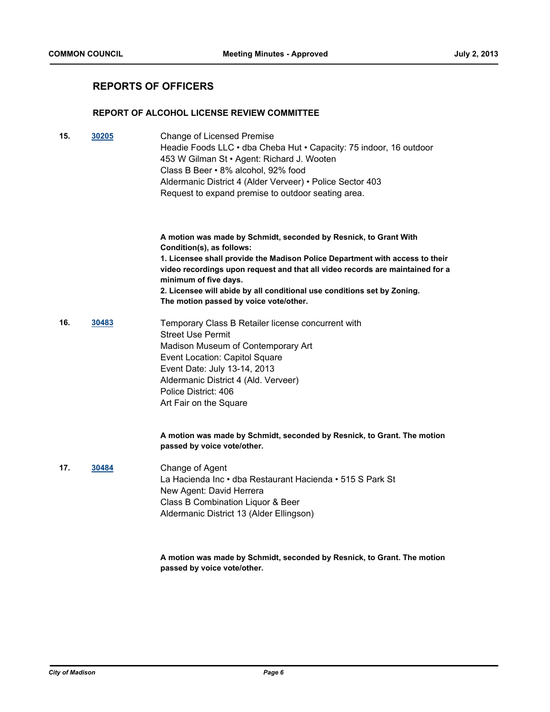## **REPORTS OF OFFICERS**

#### **REPORT OF ALCOHOL LICENSE REVIEW COMMITTEE**

| 15. | 30205 | Change of Licensed Premise<br>Headie Foods LLC • dba Cheba Hut • Capacity: 75 indoor, 16 outdoor<br>453 W Gilman St · Agent: Richard J. Wooten<br>Class B Beer • 8% alcohol, 92% food<br>Aldermanic District 4 (Alder Verveer) • Police Sector 403<br>Request to expand premise to outdoor seating area.                                                                                                     |
|-----|-------|--------------------------------------------------------------------------------------------------------------------------------------------------------------------------------------------------------------------------------------------------------------------------------------------------------------------------------------------------------------------------------------------------------------|
|     |       | A motion was made by Schmidt, seconded by Resnick, to Grant With<br>Condition(s), as follows:<br>1. Licensee shall provide the Madison Police Department with access to their<br>video recordings upon request and that all video records are maintained for a<br>minimum of five days.<br>2. Licensee will abide by all conditional use conditions set by Zoning.<br>The motion passed by voice vote/other. |
| 16. | 30483 | Temporary Class B Retailer license concurrent with<br><b>Street Use Permit</b><br>Madison Museum of Contemporary Art<br>Event Location: Capitol Square<br>Event Date: July 13-14, 2013<br>Aldermanic District 4 (Ald. Verveer)<br>Police District: 406<br>Art Fair on the Square                                                                                                                             |
|     |       | A motion was made by Schmidt, seconded by Resnick, to Grant. The motion<br>passed by voice vote/other.                                                                                                                                                                                                                                                                                                       |
| 17. | 30484 | Change of Agent<br>La Hacienda Inc · dba Restaurant Hacienda · 515 S Park St<br>New Agent: David Herrera<br>Class B Combination Liquor & Beer<br>Aldermanic District 13 (Alder Ellingson)                                                                                                                                                                                                                    |
|     |       | A motion was made by Schmidt, seconded by Resnick, to Grant. The motion<br>passed by voice vote/other.                                                                                                                                                                                                                                                                                                       |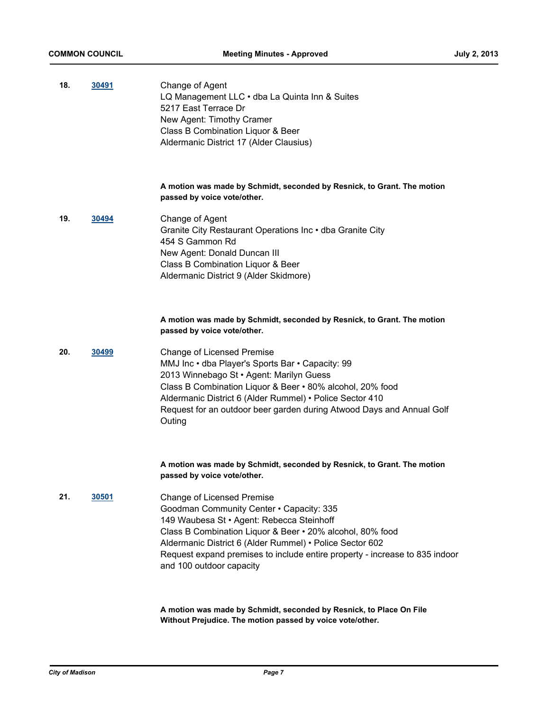| 18. | 30491        | Change of Agent<br>LQ Management LLC · dba La Quinta Inn & Suites<br>5217 East Terrace Dr<br>New Agent: Timothy Cramer<br>Class B Combination Liquor & Beer<br>Aldermanic District 17 (Alder Clausius)                                                                                                                                                         |
|-----|--------------|----------------------------------------------------------------------------------------------------------------------------------------------------------------------------------------------------------------------------------------------------------------------------------------------------------------------------------------------------------------|
|     |              | A motion was made by Schmidt, seconded by Resnick, to Grant. The motion<br>passed by voice vote/other.                                                                                                                                                                                                                                                         |
| 19. | 30494        | Change of Agent<br>Granite City Restaurant Operations Inc . dba Granite City<br>454 S Gammon Rd<br>New Agent: Donald Duncan III<br>Class B Combination Liquor & Beer<br>Aldermanic District 9 (Alder Skidmore)                                                                                                                                                 |
|     |              | A motion was made by Schmidt, seconded by Resnick, to Grant. The motion<br>passed by voice vote/other.                                                                                                                                                                                                                                                         |
| 20. | 30499        | Change of Licensed Premise<br>MMJ Inc · dba Player's Sports Bar · Capacity: 99<br>2013 Winnebago St · Agent: Marilyn Guess<br>Class B Combination Liquor & Beer • 80% alcohol, 20% food<br>Aldermanic District 6 (Alder Rummel) • Police Sector 410<br>Request for an outdoor beer garden during Atwood Days and Annual Golf<br>Outing                         |
|     |              | A motion was made by Schmidt, seconded by Resnick, to Grant. The motion<br>passed by voice vote/other.                                                                                                                                                                                                                                                         |
| 21. | <u>30501</u> | <b>Change of Licensed Premise</b><br>Goodman Community Center • Capacity: 335<br>149 Waubesa St • Agent: Rebecca Steinhoff<br>Class B Combination Liquor & Beer • 20% alcohol, 80% food<br>Aldermanic District 6 (Alder Rummel) • Police Sector 602<br>Request expand premises to include entire property - increase to 835 indoor<br>and 100 outdoor capacity |
|     |              |                                                                                                                                                                                                                                                                                                                                                                |

**A motion was made by Schmidt, seconded by Resnick, to Place On File Without Prejudice. The motion passed by voice vote/other.**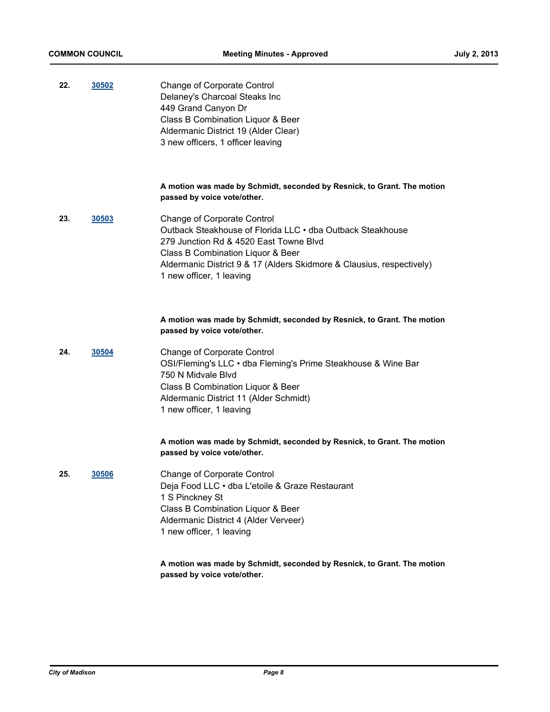| 22. | 30502 | <b>Change of Corporate Control</b>   |
|-----|-------|--------------------------------------|
|     |       | Delaney's Charcoal Steaks Inc        |
|     |       | 449 Grand Canyon Dr                  |
|     |       | Class B Combination Liquor & Beer    |
|     |       | Aldermanic District 19 (Alder Clear) |
|     |       | 3 new officers, 1 officer leaving    |

#### **A motion was made by Schmidt, seconded by Resnick, to Grant. The motion passed by voice vote/other.**

**23. [30503](http://madison.legistar.com/gateway.aspx?m=l&id=/matter.aspx?key=33404)** Change of Corporate Control Outback Steakhouse of Florida LLC • dba Outback Steakhouse 279 Junction Rd & 4520 East Towne Blvd Class B Combination Liquor & Beer Aldermanic District 9 & 17 (Alders Skidmore & Clausius, respectively) 1 new officer, 1 leaving

#### **A motion was made by Schmidt, seconded by Resnick, to Grant. The motion passed by voice vote/other.**

**24. [30504](http://madison.legistar.com/gateway.aspx?m=l&id=/matter.aspx?key=33405)** Change of Corporate Control OSI/Fleming's LLC • dba Fleming's Prime Steakhouse & Wine Bar 750 N Midvale Blvd Class B Combination Liquor & Beer Aldermanic District 11 (Alder Schmidt) 1 new officer, 1 leaving

#### **A motion was made by Schmidt, seconded by Resnick, to Grant. The motion passed by voice vote/other.**

**25. [30506](http://madison.legistar.com/gateway.aspx?m=l&id=/matter.aspx?key=33406)** Change of Corporate Control Deja Food LLC • dba L'etoile & Graze Restaurant 1 S Pinckney St Class B Combination Liquor & Beer Aldermanic District 4 (Alder Verveer) 1 new officer, 1 leaving

> **A motion was made by Schmidt, seconded by Resnick, to Grant. The motion passed by voice vote/other.**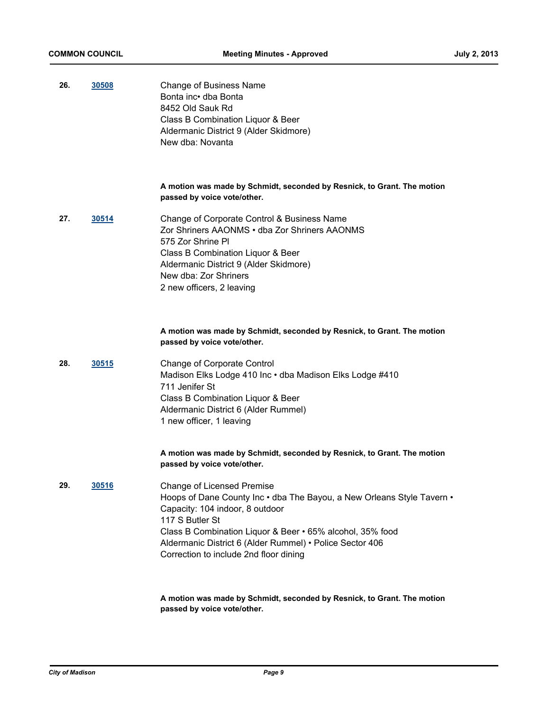| 26. | 30508 | <b>Change of Business Name</b><br>Bonta inc• dba Bonta<br>8452 Old Sauk Rd<br>Class B Combination Liquor & Beer<br>Aldermanic District 9 (Alder Skidmore)<br>New dba: Novanta                                                                                                                                                        |
|-----|-------|--------------------------------------------------------------------------------------------------------------------------------------------------------------------------------------------------------------------------------------------------------------------------------------------------------------------------------------|
|     |       | A motion was made by Schmidt, seconded by Resnick, to Grant. The motion<br>passed by voice vote/other.                                                                                                                                                                                                                               |
| 27. | 30514 | Change of Corporate Control & Business Name<br>Zor Shriners AAONMS • dba Zor Shriners AAONMS<br>575 Zor Shrine PI<br>Class B Combination Liquor & Beer<br>Aldermanic District 9 (Alder Skidmore)<br>New dba: Zor Shriners<br>2 new officers, 2 leaving                                                                               |
|     |       | A motion was made by Schmidt, seconded by Resnick, to Grant. The motion<br>passed by voice vote/other.                                                                                                                                                                                                                               |
| 28. | 30515 | Change of Corporate Control<br>Madison Elks Lodge 410 Inc · dba Madison Elks Lodge #410<br>711 Jenifer St<br>Class B Combination Liquor & Beer<br>Aldermanic District 6 (Alder Rummel)<br>1 new officer, 1 leaving                                                                                                                   |
|     |       | A motion was made by Schmidt, seconded by Resnick, to Grant. The motion<br>passed by voice vote/other.                                                                                                                                                                                                                               |
| 29. | 30516 | <b>Change of Licensed Premise</b><br>Hoops of Dane County Inc · dba The Bayou, a New Orleans Style Tavern ·<br>Capacity: 104 indoor, 8 outdoor<br>117 S Butler St<br>Class B Combination Liquor & Beer • 65% alcohol, 35% food<br>Aldermanic District 6 (Alder Rummel) · Police Sector 406<br>Correction to include 2nd floor dining |
|     |       | A motion was made by Schmidt, seconded by Resnick, to Grant. The motion                                                                                                                                                                                                                                                              |

**passed by voice vote/other.**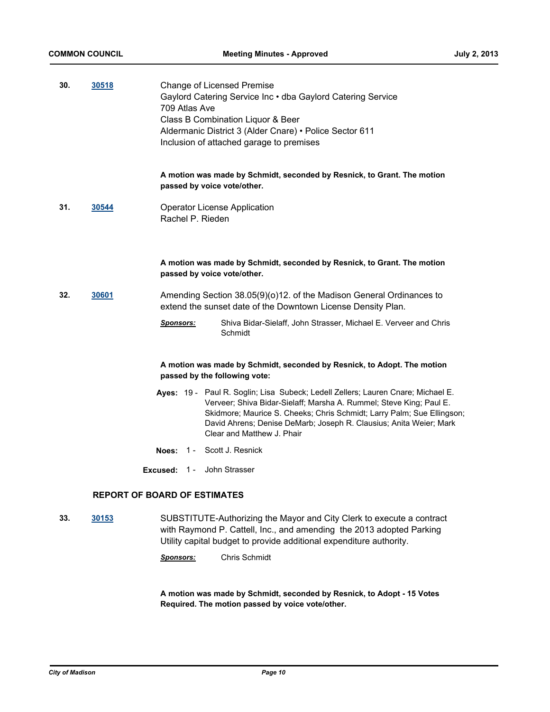| 30. | 30518        | Change of Licensed Premise<br>Gaylord Catering Service Inc . dba Gaylord Catering Service<br>709 Atlas Ave<br>Class B Combination Liquor & Beer<br>Aldermanic District 3 (Alder Cnare) • Police Sector 611<br>Inclusion of attached garage to premises                                                                                |
|-----|--------------|---------------------------------------------------------------------------------------------------------------------------------------------------------------------------------------------------------------------------------------------------------------------------------------------------------------------------------------|
|     |              | A motion was made by Schmidt, seconded by Resnick, to Grant. The motion<br>passed by voice vote/other.                                                                                                                                                                                                                                |
| 31. | 30544        | <b>Operator License Application</b><br>Rachel P. Rieden                                                                                                                                                                                                                                                                               |
|     |              | A motion was made by Schmidt, seconded by Resnick, to Grant. The motion<br>passed by voice vote/other.                                                                                                                                                                                                                                |
| 32. | <u>30601</u> | Amending Section 38.05(9)(o)12. of the Madison General Ordinances to<br>extend the sunset date of the Downtown License Density Plan.                                                                                                                                                                                                  |
|     |              | Shiva Bidar-Sielaff, John Strasser, Michael E. Verveer and Chris<br><b>Sponsors:</b><br>Schmidt                                                                                                                                                                                                                                       |
|     |              | A motion was made by Schmidt, seconded by Resnick, to Adopt. The motion<br>passed by the following vote:                                                                                                                                                                                                                              |
|     |              | Ayes: 19 - Paul R. Soglin; Lisa Subeck; Ledell Zellers; Lauren Cnare; Michael E.<br>Verveer; Shiva Bidar-Sielaff; Marsha A. Rummel; Steve King; Paul E.<br>Skidmore; Maurice S. Cheeks; Chris Schmidt; Larry Palm; Sue Ellingson;<br>David Ahrens; Denise DeMarb; Joseph R. Clausius; Anita Weier; Mark<br>Clear and Matthew J. Phair |
|     |              | <b>Noes: 1 - Scott J. Resnick</b>                                                                                                                                                                                                                                                                                                     |
|     |              | <b>Excused: 1 - John Strasser</b>                                                                                                                                                                                                                                                                                                     |
|     |              | <b>REPORT OF BOARD OF ESTIMATES</b>                                                                                                                                                                                                                                                                                                   |
| 33. | 30153        | SUBSTITUTE-Authorizing the Mayor and City Clerk to execute a contract<br>with Raymond P. Cattell, Inc., and amending the 2013 adopted Parking                                                                                                                                                                                         |

with Raymond P. Cattell, Inc., and amending the 2013 adopted Parking Utility capital budget to provide additional expenditure authority.

*Sponsors:* Chris Schmidt

**A motion was made by Schmidt, seconded by Resnick, to Adopt - 15 Votes Required. The motion passed by voice vote/other.**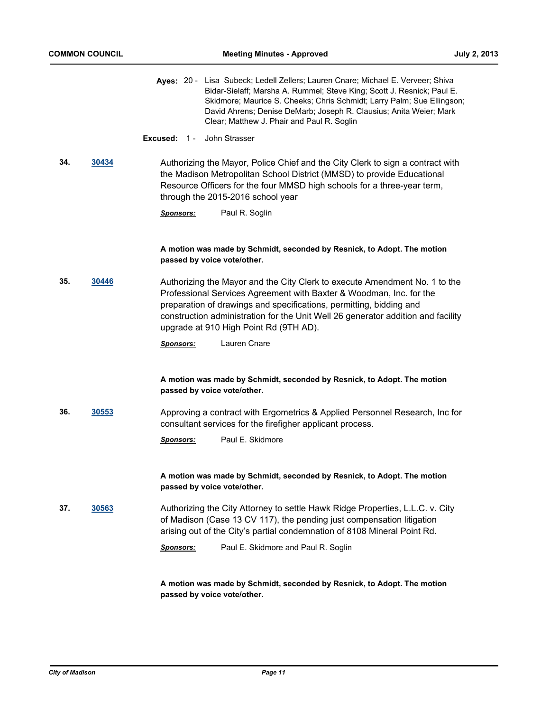|     |       | Ayes: 20 - Lisa Subeck; Ledell Zellers; Lauren Cnare; Michael E. Verveer; Shiva<br>Bidar-Sielaff; Marsha A. Rummel; Steve King; Scott J. Resnick; Paul E.<br>Skidmore; Maurice S. Cheeks; Chris Schmidt; Larry Palm; Sue Ellingson;<br>David Ahrens; Denise DeMarb; Joseph R. Clausius; Anita Weier; Mark<br>Clear; Matthew J. Phair and Paul R. Soglin |
|-----|-------|---------------------------------------------------------------------------------------------------------------------------------------------------------------------------------------------------------------------------------------------------------------------------------------------------------------------------------------------------------|
|     |       | John Strasser<br>Excused: $1 -$                                                                                                                                                                                                                                                                                                                         |
| 34. | 30434 | Authorizing the Mayor, Police Chief and the City Clerk to sign a contract with<br>the Madison Metropolitan School District (MMSD) to provide Educational<br>Resource Officers for the four MMSD high schools for a three-year term,<br>through the 2015-2016 school year                                                                                |
|     |       | Paul R. Soglin<br><b>Sponsors:</b>                                                                                                                                                                                                                                                                                                                      |
|     |       | A motion was made by Schmidt, seconded by Resnick, to Adopt. The motion<br>passed by voice vote/other.                                                                                                                                                                                                                                                  |
| 35. | 30446 | Authorizing the Mayor and the City Clerk to execute Amendment No. 1 to the<br>Professional Services Agreement with Baxter & Woodman, Inc. for the<br>preparation of drawings and specifications, permitting, bidding and<br>construction administration for the Unit Well 26 generator addition and facility<br>upgrade at 910 High Point Rd (9TH AD).  |
|     |       | Lauren Cnare<br><u>Sponsors:</u>                                                                                                                                                                                                                                                                                                                        |
|     |       | A motion was made by Schmidt, seconded by Resnick, to Adopt. The motion<br>passed by voice vote/other.                                                                                                                                                                                                                                                  |
| 36. | 30553 | Approving a contract with Ergometrics & Applied Personnel Research, Inc for<br>consultant services for the firefigher applicant process.                                                                                                                                                                                                                |
|     |       | Paul E. Skidmore<br><b>Sponsors:</b>                                                                                                                                                                                                                                                                                                                    |
|     |       | A motion was made by Schmidt, seconded by Resnick, to Adopt. The motion<br>passed by voice vote/other.                                                                                                                                                                                                                                                  |
| 37. | 30563 | Authorizing the City Attorney to settle Hawk Ridge Properties, L.L.C. v. City<br>of Madison (Case 13 CV 117), the pending just compensation litigation<br>arising out of the City's partial condemnation of 8108 Mineral Point Rd.                                                                                                                      |
|     |       | Paul E. Skidmore and Paul R. Soglin<br><u>Sponsors:</u>                                                                                                                                                                                                                                                                                                 |
|     |       | A motion was made by Schmidt, seconded by Resnick, to Adopt. The motion                                                                                                                                                                                                                                                                                 |

**A motion was made by Schmidt, seconded by Resnick, to Adopt. The motion passed by voice vote/other.**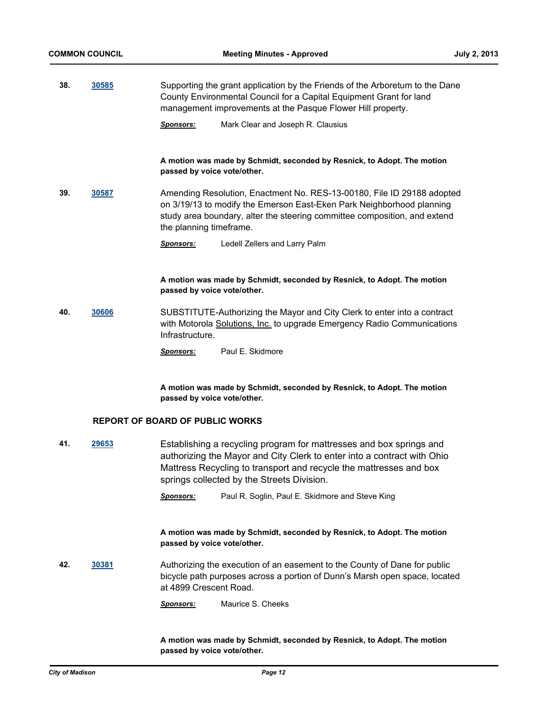**38. [30585](http://madison.legistar.com/gateway.aspx?m=l&id=/matter.aspx?key=33490)** Supporting the grant application by the Friends of the Arboretum to the Dane County Environmental Council for a Capital Equipment Grant for land management improvements at the Pasque Flower Hill property.

*Sponsors:* Mark Clear and Joseph R. Clausius

**A motion was made by Schmidt, seconded by Resnick, to Adopt. The motion passed by voice vote/other.**

**39. [30587](http://madison.legistar.com/gateway.aspx?m=l&id=/matter.aspx?key=33492)** Amending Resolution, Enactment No. RES-13-00180, File ID 29188 adopted on 3/19/13 to modify the Emerson East-Eken Park Neighborhood planning study area boundary, alter the steering committee composition, and extend the planning timeframe.

*Sponsors:* Ledell Zellers and Larry Palm

**A motion was made by Schmidt, seconded by Resnick, to Adopt. The motion passed by voice vote/other.**

**40. [30606](http://madison.legistar.com/gateway.aspx?m=l&id=/matter.aspx?key=33513)** SUBSTITUTE-Authorizing the Mayor and City Clerk to enter into a contract with Motorola Solutions, Inc. to upgrade Emergency Radio Communications Infrastructure.

*Sponsors:* Paul E. Skidmore

**A motion was made by Schmidt, seconded by Resnick, to Adopt. The motion passed by voice vote/other.**

#### **REPORT OF BOARD OF PUBLIC WORKS**

**41. [29653](http://madison.legistar.com/gateway.aspx?m=l&id=/matter.aspx?key=32507)** Establishing a recycling program for mattresses and box springs and authorizing the Mayor and City Clerk to enter into a contract with Ohio Mattress Recycling to transport and recycle the mattresses and box springs collected by the Streets Division.

*Sponsors:* Paul R. Soglin, Paul E. Skidmore and Steve King

**A motion was made by Schmidt, seconded by Resnick, to Adopt. The motion passed by voice vote/other.**

- **42. [30381](http://madison.legistar.com/gateway.aspx?m=l&id=/matter.aspx?key=33267)** Authorizing the execution of an easement to the County of Dane for public bicycle path purposes across a portion of Dunn's Marsh open space, located at 4899 Crescent Road.
	- *Sponsors:* Maurice S. Cheeks

**A motion was made by Schmidt, seconded by Resnick, to Adopt. The motion passed by voice vote/other.**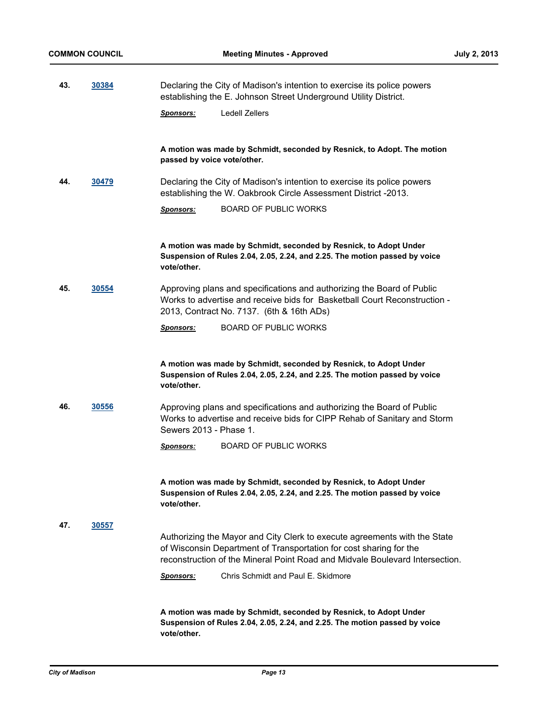| -43. | 30384 | Declaring the City of Madison's intention to exercise its police powers |
|------|-------|-------------------------------------------------------------------------|
|      |       | establishing the E. Johnson Street Underground Utility District.        |

*Sponsors:* Ledell Zellers

**A motion was made by Schmidt, seconded by Resnick, to Adopt. The motion passed by voice vote/other.**

**44. [30479](http://madison.legistar.com/gateway.aspx?m=l&id=/matter.aspx?key=33376)** Declaring the City of Madison's intention to exercise its police powers establishing the W. Oakbrook Circle Assessment District -2013.

*Sponsors:* BOARD OF PUBLIC WORKS

**A motion was made by Schmidt, seconded by Resnick, to Adopt Under Suspension of Rules 2.04, 2.05, 2.24, and 2.25. The motion passed by voice vote/other.**

**45. [30554](http://madison.legistar.com/gateway.aspx?m=l&id=/matter.aspx?key=33458)** Approving plans and specifications and authorizing the Board of Public Works to advertise and receive bids for Basketball Court Reconstruction - 2013, Contract No. 7137. (6th & 16th ADs)

*Sponsors:* BOARD OF PUBLIC WORKS

**A motion was made by Schmidt, seconded by Resnick, to Adopt Under Suspension of Rules 2.04, 2.05, 2.24, and 2.25. The motion passed by voice vote/other.**

**46. [30556](http://madison.legistar.com/gateway.aspx?m=l&id=/matter.aspx?key=33460)** Approving plans and specifications and authorizing the Board of Public Works to advertise and receive bids for CIPP Rehab of Sanitary and Storm Sewers 2013 - Phase 1.

*Sponsors:* BOARD OF PUBLIC WORKS

**A motion was made by Schmidt, seconded by Resnick, to Adopt Under Suspension of Rules 2.04, 2.05, 2.24, and 2.25. The motion passed by voice vote/other.**

**47. [30557](http://madison.legistar.com/gateway.aspx?m=l&id=/matter.aspx?key=33461)**

Authorizing the Mayor and City Clerk to execute agreements with the State of Wisconsin Department of Transportation for cost sharing for the reconstruction of the Mineral Point Road and Midvale Boulevard Intersection.

*Sponsors:* Chris Schmidt and Paul E. Skidmore

**A motion was made by Schmidt, seconded by Resnick, to Adopt Under Suspension of Rules 2.04, 2.05, 2.24, and 2.25. The motion passed by voice vote/other.**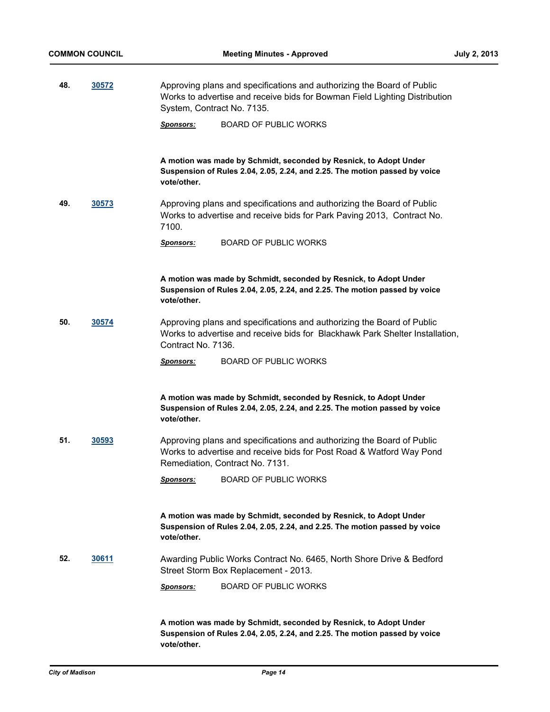**48. [30572](http://madison.legistar.com/gateway.aspx?m=l&id=/matter.aspx?key=33477)** Approving plans and specifications and authorizing the Board of Public

|     |       | Works to advertise and receive bids for Bowman Field Lighting Distribution<br>System, Contract No. 7135. |                                                                                                                                                                                   |
|-----|-------|----------------------------------------------------------------------------------------------------------|-----------------------------------------------------------------------------------------------------------------------------------------------------------------------------------|
|     |       | Sponsors:                                                                                                | <b>BOARD OF PUBLIC WORKS</b>                                                                                                                                                      |
|     |       | vote/other.                                                                                              | A motion was made by Schmidt, seconded by Resnick, to Adopt Under<br>Suspension of Rules 2.04, 2.05, 2.24, and 2.25. The motion passed by voice                                   |
| 49. | 30573 | 7100.                                                                                                    | Approving plans and specifications and authorizing the Board of Public<br>Works to advertise and receive bids for Park Paving 2013, Contract No.                                  |
|     |       | Sponsors:                                                                                                | <b>BOARD OF PUBLIC WORKS</b>                                                                                                                                                      |
|     |       | vote/other.                                                                                              | A motion was made by Schmidt, seconded by Resnick, to Adopt Under<br>Suspension of Rules 2.04, 2.05, 2.24, and 2.25. The motion passed by voice                                   |
| 50. | 30574 | Contract No. 7136.                                                                                       | Approving plans and specifications and authorizing the Board of Public<br>Works to advertise and receive bids for Blackhawk Park Shelter Installation,                            |
|     |       | Sponsors:                                                                                                | <b>BOARD OF PUBLIC WORKS</b>                                                                                                                                                      |
|     |       | vote/other.                                                                                              | A motion was made by Schmidt, seconded by Resnick, to Adopt Under<br>Suspension of Rules 2.04, 2.05, 2.24, and 2.25. The motion passed by voice                                   |
| 51. | 30593 |                                                                                                          | Approving plans and specifications and authorizing the Board of Public<br>Works to advertise and receive bids for Post Road & Watford Way Pond<br>Remediation, Contract No. 7131. |
|     |       | Sponsors:                                                                                                | <b>BOARD OF PUBLIC WORKS</b>                                                                                                                                                      |
|     |       | vote/other.                                                                                              | A motion was made by Schmidt, seconded by Resnick, to Adopt Under<br>Suspension of Rules 2.04, 2.05, 2.24, and 2.25. The motion passed by voice                                   |
| 52. | 30611 |                                                                                                          | Awarding Public Works Contract No. 6465, North Shore Drive & Bedford<br>Street Storm Box Replacement - 2013.                                                                      |
|     |       | <u>Sponsors:</u>                                                                                         | <b>BOARD OF PUBLIC WORKS</b>                                                                                                                                                      |

**A motion was made by Schmidt, seconded by Resnick, to Adopt Under Suspension of Rules 2.04, 2.05, 2.24, and 2.25. The motion passed by voice vote/other.**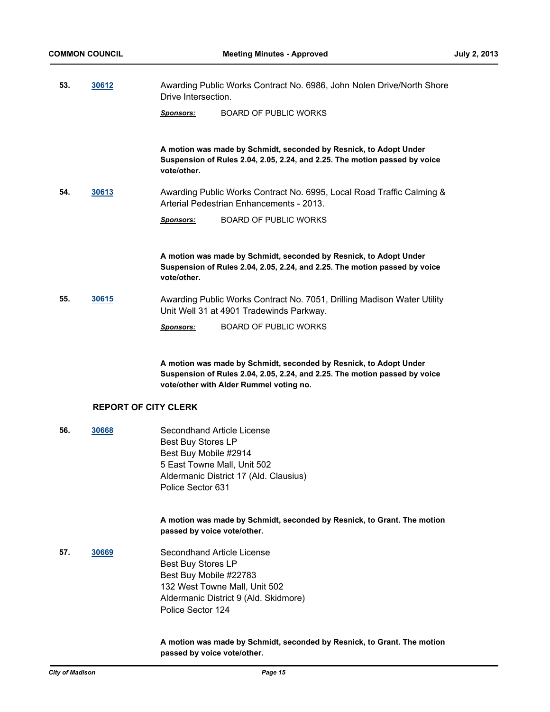| -53. | 30612 | Awarding Public Works Contract No. 6986, John Nolen Drive/North Shore |
|------|-------|-----------------------------------------------------------------------|
|      |       | Drive Intersection.                                                   |

*Sponsors:* BOARD OF PUBLIC WORKS

**A motion was made by Schmidt, seconded by Resnick, to Adopt Under Suspension of Rules 2.04, 2.05, 2.24, and 2.25. The motion passed by voice vote/other.**

**54. [30613](http://madison.legistar.com/gateway.aspx?m=l&id=/matter.aspx?key=33520)** Awarding Public Works Contract No. 6995, Local Road Traffic Calming & Arterial Pedestrian Enhancements - 2013.

*Sponsors:* BOARD OF PUBLIC WORKS

**A motion was made by Schmidt, seconded by Resnick, to Adopt Under Suspension of Rules 2.04, 2.05, 2.24, and 2.25. The motion passed by voice vote/other.**

**55. [30615](http://madison.legistar.com/gateway.aspx?m=l&id=/matter.aspx?key=33522)** Awarding Public Works Contract No. 7051, Drilling Madison Water Utility Unit Well 31 at 4901 Tradewinds Parkway.

*Sponsors:* BOARD OF PUBLIC WORKS

**A motion was made by Schmidt, seconded by Resnick, to Adopt Under Suspension of Rules 2.04, 2.05, 2.24, and 2.25. The motion passed by voice vote/other with Alder Rummel voting no.**

## **REPORT OF CITY CLERK**

**56. [30668](http://madison.legistar.com/gateway.aspx?m=l&id=/matter.aspx?key=33580)** Secondhand Article License Best Buy Stores LP Best Buy Mobile #2914 5 East Towne Mall, Unit 502 Aldermanic District 17 (Ald. Clausius) Police Sector 631

> **A motion was made by Schmidt, seconded by Resnick, to Grant. The motion passed by voice vote/other.**

**57. [30669](http://madison.legistar.com/gateway.aspx?m=l&id=/matter.aspx?key=33581)** Secondhand Article License Best Buy Stores LP Best Buy Mobile #22783 132 West Towne Mall, Unit 502 Aldermanic District 9 (Ald. Skidmore) Police Sector 124

#### **A motion was made by Schmidt, seconded by Resnick, to Grant. The motion passed by voice vote/other.**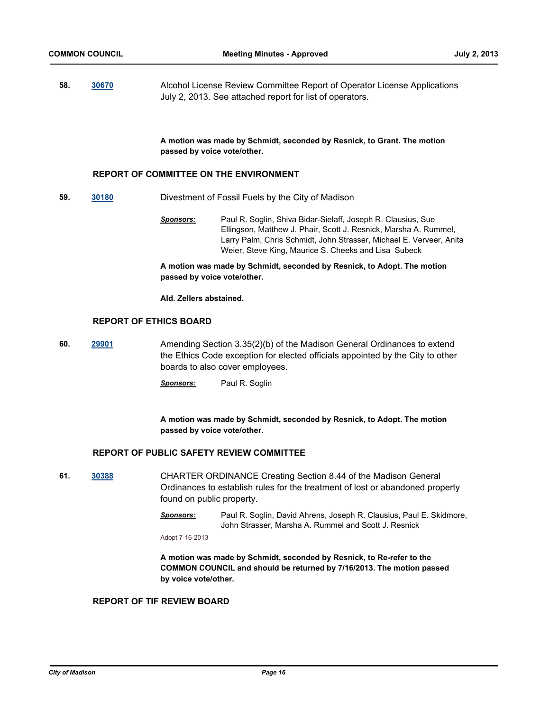**58. [30670](http://madison.legistar.com/gateway.aspx?m=l&id=/matter.aspx?key=33582)** Alcohol License Review Committee Report of Operator License Applications July 2, 2013. See attached report for list of operators.

> **A motion was made by Schmidt, seconded by Resnick, to Grant. The motion passed by voice vote/other.**

#### **REPORT OF COMMITTEE ON THE ENVIRONMENT**

- **59. [30180](http://madison.legistar.com/gateway.aspx?m=l&id=/matter.aspx?key=33062)** Divestment of Fossil Fuels by the City of Madison
	- *Sponsors:* Paul R. Soglin, Shiva Bidar-Sielaff, Joseph R. Clausius, Sue Ellingson, Matthew J. Phair, Scott J. Resnick, Marsha A. Rummel, Larry Palm, Chris Schmidt, John Strasser, Michael E. Verveer, Anita Weier, Steve King, Maurice S. Cheeks and Lisa Subeck

**A motion was made by Schmidt, seconded by Resnick, to Adopt. The motion passed by voice vote/other.**

#### **Ald. Zellers abstained.**

### **REPORT OF ETHICS BOARD**

- **60. [29901](http://madison.legistar.com/gateway.aspx?m=l&id=/matter.aspx?key=32774)** Amending Section 3.35(2)(b) of the Madison General Ordinances to extend the Ethics Code exception for elected officials appointed by the City to other boards to also cover employees.
	- *Sponsors:* Paul R. Soglin

**A motion was made by Schmidt, seconded by Resnick, to Adopt. The motion passed by voice vote/other.**

#### **REPORT OF PUBLIC SAFETY REVIEW COMMITTEE**

- **61. [30388](http://madison.legistar.com/gateway.aspx?m=l&id=/matter.aspx?key=33278)** CHARTER ORDINANCE Creating Section 8.44 of the Madison General Ordinances to establish rules for the treatment of lost or abandoned property found on public property.
	- *Sponsors:* Paul R. Soglin, David Ahrens, Joseph R. Clausius, Paul E. Skidmore, John Strasser, Marsha A. Rummel and Scott J. Resnick

Adopt 7-16-2013

**A motion was made by Schmidt, seconded by Resnick, to Re-refer to the COMMON COUNCIL and should be returned by 7/16/2013. The motion passed by voice vote/other.**

#### **REPORT OF TIF REVIEW BOARD**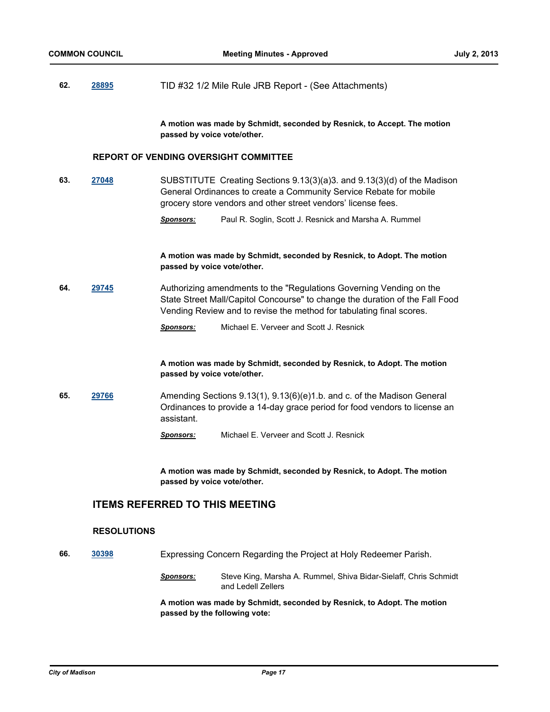## **62. [28895](http://madison.legistar.com/gateway.aspx?m=l&id=/matter.aspx?key=31704)** TID #32 1/2 Mile Rule JRB Report - (See Attachments)

**A motion was made by Schmidt, seconded by Resnick, to Accept. The motion passed by voice vote/other.**

#### **REPORT OF VENDING OVERSIGHT COMMITTEE**

- **63. [27048](http://madison.legistar.com/gateway.aspx?m=l&id=/matter.aspx?key=29718)** SUBSTITUTE Creating Sections 9.13(3)(a)3. and 9.13(3)(d) of the Madison General Ordinances to create a Community Service Rebate for mobile grocery store vendors and other street vendors' license fees.
	- *Sponsors:* Paul R. Soglin, Scott J. Resnick and Marsha A. Rummel

**A motion was made by Schmidt, seconded by Resnick, to Adopt. The motion passed by voice vote/other.**

**64. [29745](http://madison.legistar.com/gateway.aspx?m=l&id=/matter.aspx?key=32612)** Authorizing amendments to the "Regulations Governing Vending on the State Street Mall/Capitol Concourse" to change the duration of the Fall Food Vending Review and to revise the method for tabulating final scores.

*Sponsors:* Michael E. Verveer and Scott J. Resnick

**A motion was made by Schmidt, seconded by Resnick, to Adopt. The motion passed by voice vote/other.**

**65. [29766](http://madison.legistar.com/gateway.aspx?m=l&id=/matter.aspx?key=32633)** Amending Sections 9.13(1), 9.13(6)(e)1.b. and c. of the Madison General Ordinances to provide a 14-day grace period for food vendors to license an assistant.

*Sponsors:* Michael E. Verveer and Scott J. Resnick

**A motion was made by Schmidt, seconded by Resnick, to Adopt. The motion passed by voice vote/other.**

## **ITEMS REFERRED TO THIS MEETING**

#### **RESOLUTIONS**

- **66. [30398](http://madison.legistar.com/gateway.aspx?m=l&id=/matter.aspx?key=33287)** Expressing Concern Regarding the Project at Holy Redeemer Parish.
	- *Sponsors:* Steve King, Marsha A. Rummel, Shiva Bidar-Sielaff, Chris Schmidt and Ledell Zellers

**A motion was made by Schmidt, seconded by Resnick, to Adopt. The motion passed by the following vote:**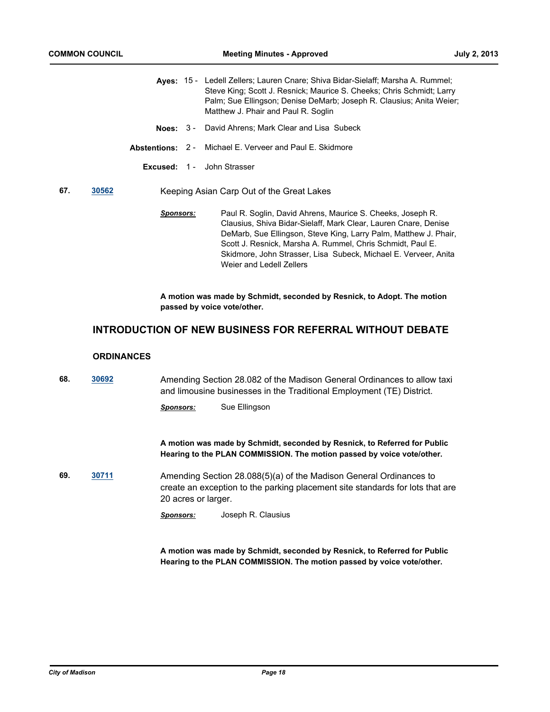|     |       |           | Aves: 15 - Ledell Zellers: Lauren Cnare: Shiva Bidar-Sielaff: Marsha A. Rummel:<br>Steve King; Scott J. Resnick; Maurice S. Cheeks; Chris Schmidt; Larry<br>Palm; Sue Ellingson; Denise DeMarb; Joseph R. Clausius; Anita Weier;<br>Matthew J. Phair and Paul R. Soglin |
|-----|-------|-----------|-------------------------------------------------------------------------------------------------------------------------------------------------------------------------------------------------------------------------------------------------------------------------|
|     |       |           | <b>Noes:</b> 3 - David Ahrens: Mark Clear and Lisa Subeck                                                                                                                                                                                                               |
|     |       |           | <b>Abstentions:</b> 2 - Michael E. Verveer and Paul E. Skidmore                                                                                                                                                                                                         |
|     |       |           | <b>Excused: 1 - John Strasser</b>                                                                                                                                                                                                                                       |
| 67. | 30562 |           | Keeping Asian Carp Out of the Great Lakes                                                                                                                                                                                                                               |
|     |       | Sponsors: | Paul R. Soglin, David Ahrens, Maurice S. Cheeks, Joseph R.<br>Clausius, Shiva Bidar-Sielaff, Mark Clear, Lauren Cnare, Denise<br>DeMarb, Sue Ellingson, Steve King, Larry Palm, Matthew J. Phair,<br>Scott J. Resnick. Marsha A. Rummel. Chris Schmidt. Paul E.         |

Skidmore, John Strasser, Lisa Subeck, Michael E. Verveer, Anita Weier and Ledell Zellers

**A motion was made by Schmidt, seconded by Resnick, to Adopt. The motion passed by voice vote/other.**

## **INTRODUCTION OF NEW BUSINESS FOR REFERRAL WITHOUT DEBATE**

## **ORDINANCES**

| 68. | 30692 |                                                                                                                                                                            | Amending Section 28.082 of the Madison General Ordinances to allow taxi<br>and limousine businesses in the Traditional Employment (TE) District.    |  |
|-----|-------|----------------------------------------------------------------------------------------------------------------------------------------------------------------------------|-----------------------------------------------------------------------------------------------------------------------------------------------------|--|
|     |       | Sponsors:                                                                                                                                                                  | Sue Ellingson                                                                                                                                       |  |
|     |       |                                                                                                                                                                            | A motion was made by Schmidt, seconded by Resnick, to Referred for Public<br>Hearing to the PLAN COMMISSION. The motion passed by voice vote/other. |  |
| 69. | 30711 | Amending Section 28.088(5)(a) of the Madison General Ordinances to<br>create an exception to the parking placement site standards for lots that are<br>20 acres or larger. |                                                                                                                                                     |  |
|     |       | <b>Sponsors:</b>                                                                                                                                                           | Joseph R. Clausius                                                                                                                                  |  |

**A motion was made by Schmidt, seconded by Resnick, to Referred for Public Hearing to the PLAN COMMISSION. The motion passed by voice vote/other.**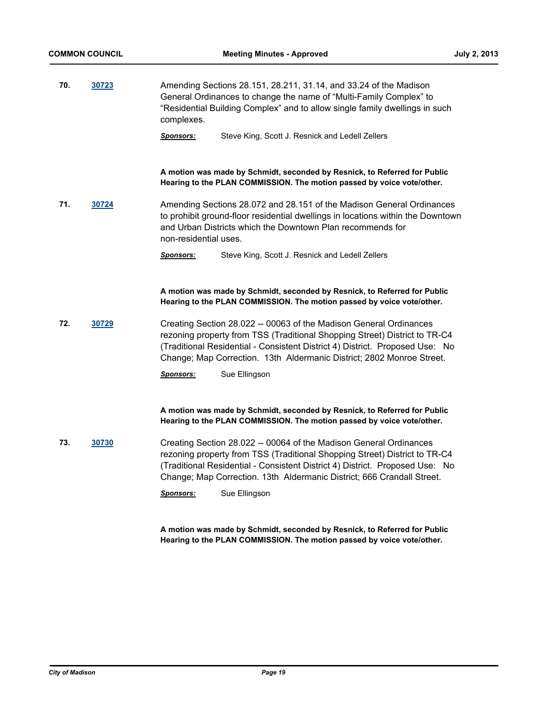**70. [30723](http://madison.legistar.com/gateway.aspx?m=l&id=/matter.aspx?key=33636)** Amending Sections 28.151, 28.211, 31.14, and 33.24 of the Madison General Ordinances to change the name of "Multi-Family Complex" to "Residential Building Complex" and to allow single family dwellings in such complexes.

*Sponsors:* Steve King, Scott J. Resnick and Ledell Zellers

**A motion was made by Schmidt, seconded by Resnick, to Referred for Public Hearing to the PLAN COMMISSION. The motion passed by voice vote/other.**

**71. [30724](http://madison.legistar.com/gateway.aspx?m=l&id=/matter.aspx?key=33637)** Amending Sections 28.072 and 28.151 of the Madison General Ordinances to prohibit ground-floor residential dwellings in locations within the Downtown and Urban Districts which the Downtown Plan recommends for non-residential uses.

*Sponsors:* Steve King, Scott J. Resnick and Ledell Zellers

**A motion was made by Schmidt, seconded by Resnick, to Referred for Public Hearing to the PLAN COMMISSION. The motion passed by voice vote/other.**

**72. [30729](http://madison.legistar.com/gateway.aspx?m=l&id=/matter.aspx?key=33642)** Creating Section 28.022 -- 00063 of the Madison General Ordinances rezoning property from TSS (Traditional Shopping Street) District to TR-C4 (Traditional Residential - Consistent District 4) District. Proposed Use: No Change; Map Correction. 13th Aldermanic District; 2802 Monroe Street.

*Sponsors:* Sue Ellingson

**A motion was made by Schmidt, seconded by Resnick, to Referred for Public Hearing to the PLAN COMMISSION. The motion passed by voice vote/other.**

**73. [30730](http://madison.legistar.com/gateway.aspx?m=l&id=/matter.aspx?key=33643)** Creating Section 28.022 -- 00064 of the Madison General Ordinances rezoning property from TSS (Traditional Shopping Street) District to TR-C4 (Traditional Residential - Consistent District 4) District. Proposed Use: No Change; Map Correction. 13th Aldermanic District; 666 Crandall Street.

*Sponsors:* Sue Ellingson

**A motion was made by Schmidt, seconded by Resnick, to Referred for Public Hearing to the PLAN COMMISSION. The motion passed by voice vote/other.**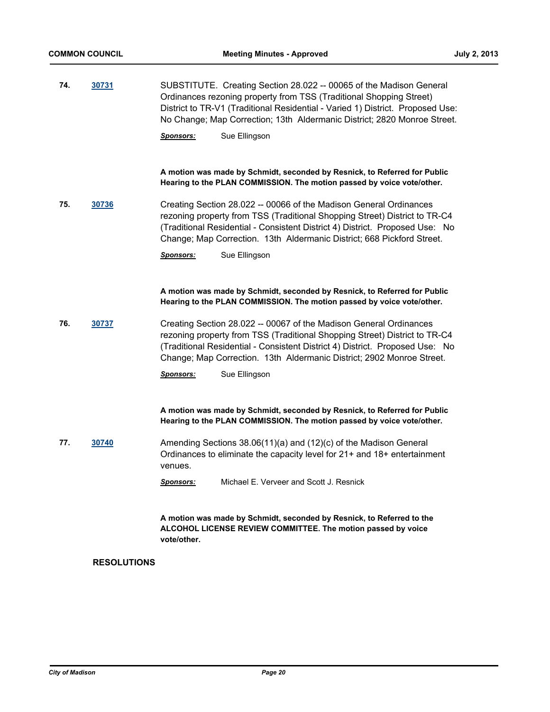**74. [30731](http://madison.legistar.com/gateway.aspx?m=l&id=/matter.aspx?key=33644)** SUBSTITUTE. Creating Section 28.022 -- 00065 of the Madison General Ordinances rezoning property from TSS (Traditional Shopping Street) District to TR-V1 (Traditional Residential - Varied 1) District. Proposed Use: No Change; Map Correction; 13th Aldermanic District; 2820 Monroe Street.

*Sponsors:* Sue Ellingson

**A motion was made by Schmidt, seconded by Resnick, to Referred for Public Hearing to the PLAN COMMISSION. The motion passed by voice vote/other.**

**75. [30736](http://madison.legistar.com/gateway.aspx?m=l&id=/matter.aspx?key=33648)** Creating Section 28.022 -- 00066 of the Madison General Ordinances rezoning property from TSS (Traditional Shopping Street) District to TR-C4 (Traditional Residential - Consistent District 4) District. Proposed Use: No Change; Map Correction. 13th Aldermanic District; 668 Pickford Street.

*Sponsors:* Sue Ellingson

**A motion was made by Schmidt, seconded by Resnick, to Referred for Public Hearing to the PLAN COMMISSION. The motion passed by voice vote/other.**

**76. [30737](http://madison.legistar.com/gateway.aspx?m=l&id=/matter.aspx?key=33649)** Creating Section 28.022 -- 00067 of the Madison General Ordinances rezoning property from TSS (Traditional Shopping Street) District to TR-C4 (Traditional Residential - Consistent District 4) District. Proposed Use: No Change; Map Correction. 13th Aldermanic District; 2902 Monroe Street.

*Sponsors:* Sue Ellingson

**A motion was made by Schmidt, seconded by Resnick, to Referred for Public Hearing to the PLAN COMMISSION. The motion passed by voice vote/other.**

**77. [30740](http://madison.legistar.com/gateway.aspx?m=l&id=/matter.aspx?key=33652)** Amending Sections 38.06(11)(a) and (12)(c) of the Madison General Ordinances to eliminate the capacity level for 21+ and 18+ entertainment venues.

*Sponsors:* Michael E. Verveer and Scott J. Resnick

**A motion was made by Schmidt, seconded by Resnick, to Referred to the ALCOHOL LICENSE REVIEW COMMITTEE. The motion passed by voice vote/other.**

#### **RESOLUTIONS**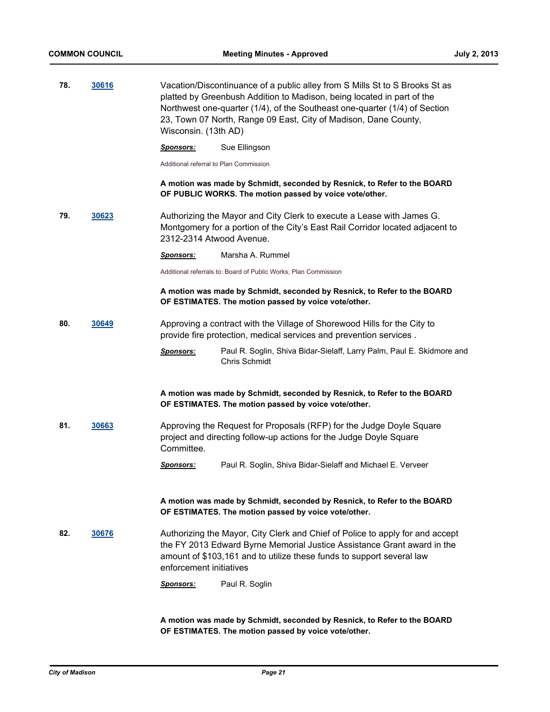| 78. | 30616 | Wisconsin. (13th AD)                   | Vacation/Discontinuance of a public alley from S Mills St to S Brooks St as<br>platted by Greenbush Addition to Madison, being located in part of the<br>Northwest one-quarter (1/4), of the Southeast one-quarter (1/4) of Section<br>23, Town 07 North, Range 09 East, City of Madison, Dane County, |
|-----|-------|----------------------------------------|--------------------------------------------------------------------------------------------------------------------------------------------------------------------------------------------------------------------------------------------------------------------------------------------------------|
|     |       | <u>Sponsors:</u>                       | Sue Ellingson                                                                                                                                                                                                                                                                                          |
|     |       | Additional referral to Plan Commission |                                                                                                                                                                                                                                                                                                        |
|     |       |                                        | A motion was made by Schmidt, seconded by Resnick, to Refer to the BOARD<br>OF PUBLIC WORKS. The motion passed by voice vote/other.                                                                                                                                                                    |
| 79. | 30623 | 2312-2314 Atwood Avenue.               | Authorizing the Mayor and City Clerk to execute a Lease with James G.<br>Montgomery for a portion of the City's East Rail Corridor located adjacent to                                                                                                                                                 |
|     |       | <u>Sponsors:</u>                       | Marsha A. Rummel                                                                                                                                                                                                                                                                                       |
|     |       |                                        | Additional referrals to: Board of Public Works, Plan Commission                                                                                                                                                                                                                                        |
|     |       |                                        | A motion was made by Schmidt, seconded by Resnick, to Refer to the BOARD<br>OF ESTIMATES. The motion passed by voice vote/other.                                                                                                                                                                       |
| 80. | 30649 |                                        | Approving a contract with the Village of Shorewood Hills for the City to<br>provide fire protection, medical services and prevention services.                                                                                                                                                         |
|     |       | <b>Sponsors:</b>                       | Paul R. Soglin, Shiva Bidar-Sielaff, Larry Palm, Paul E. Skidmore and<br>Chris Schmidt                                                                                                                                                                                                                 |
|     |       |                                        | A motion was made by Schmidt, seconded by Resnick, to Refer to the BOARD<br>OF ESTIMATES. The motion passed by voice vote/other.                                                                                                                                                                       |
| 81. | 30663 | Committee.                             | Approving the Request for Proposals (RFP) for the Judge Doyle Square<br>project and directing follow-up actions for the Judge Doyle Square                                                                                                                                                             |
|     |       | <u>Sponsors:</u>                       | Paul R. Soglin, Shiva Bidar-Sielaff and Michael E. Verveer                                                                                                                                                                                                                                             |
|     |       |                                        | A motion was made by Schmidt, seconded by Resnick, to Refer to the BOARD<br>OF ESTIMATES. The motion passed by voice vote/other.                                                                                                                                                                       |
| 82. | 30676 | enforcement initiatives                | Authorizing the Mayor, City Clerk and Chief of Police to apply for and accept<br>the FY 2013 Edward Byrne Memorial Justice Assistance Grant award in the<br>amount of \$103,161 and to utilize these funds to support several law                                                                      |
|     |       | <u>Sponsors:</u>                       | Paul R. Soglin                                                                                                                                                                                                                                                                                         |
|     |       |                                        |                                                                                                                                                                                                                                                                                                        |

**A motion was made by Schmidt, seconded by Resnick, to Refer to the BOARD OF ESTIMATES. The motion passed by voice vote/other.**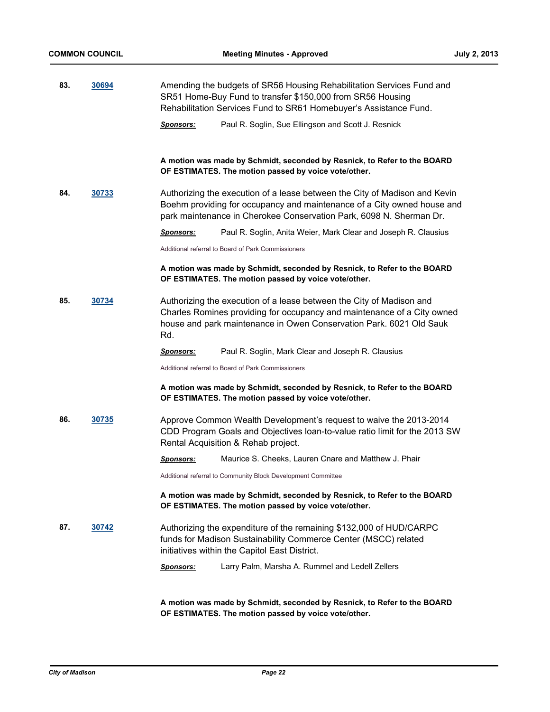| 83. | 30694 |                  | Amending the budgets of SR56 Housing Rehabilitation Services Fund and<br>SR51 Home-Buy Fund to transfer \$150,000 from SR56 Housing<br>Rehabilitation Services Fund to SR61 Homebuyer's Assistance Fund.                     |
|-----|-------|------------------|------------------------------------------------------------------------------------------------------------------------------------------------------------------------------------------------------------------------------|
|     |       | <u>Sponsors:</u> | Paul R. Soglin, Sue Ellingson and Scott J. Resnick                                                                                                                                                                           |
|     |       |                  | A motion was made by Schmidt, seconded by Resnick, to Refer to the BOARD<br>OF ESTIMATES. The motion passed by voice vote/other.                                                                                             |
| 84. | 30733 |                  | Authorizing the execution of a lease between the City of Madison and Kevin<br>Boehm providing for occupancy and maintenance of a City owned house and<br>park maintenance in Cherokee Conservation Park, 6098 N. Sherman Dr. |
|     |       | <u>Sponsors:</u> | Paul R. Soglin, Anita Weier, Mark Clear and Joseph R. Clausius                                                                                                                                                               |
|     |       |                  | Additional referral to Board of Park Commissioners                                                                                                                                                                           |
|     |       |                  | A motion was made by Schmidt, seconded by Resnick, to Refer to the BOARD<br>OF ESTIMATES. The motion passed by voice vote/other.                                                                                             |
| 85. | 30734 | Rd.              | Authorizing the execution of a lease between the City of Madison and<br>Charles Romines providing for occupancy and maintenance of a City owned<br>house and park maintenance in Owen Conservation Park. 6021 Old Sauk       |
|     |       | <u>Sponsors:</u> | Paul R. Soglin, Mark Clear and Joseph R. Clausius                                                                                                                                                                            |
|     |       |                  | Additional referral to Board of Park Commissioners                                                                                                                                                                           |
|     |       |                  | A motion was made by Schmidt, seconded by Resnick, to Refer to the BOARD<br>OF ESTIMATES. The motion passed by voice vote/other.                                                                                             |
| 86. | 30735 |                  | Approve Common Wealth Development's request to waive the 2013-2014<br>CDD Program Goals and Objectives loan-to-value ratio limit for the 2013 SW<br>Rental Acquisition & Rehab project.                                      |
|     |       | <u>Sponsors:</u> | Maurice S. Cheeks, Lauren Cnare and Matthew J. Phair                                                                                                                                                                         |
|     |       |                  | Additional referral to Community Block Development Committee                                                                                                                                                                 |
|     |       |                  | A motion was made by Schmidt, seconded by Resnick, to Refer to the BOARD<br>OF ESTIMATES. The motion passed by voice vote/other.                                                                                             |
| 87. | 30742 |                  | Authorizing the expenditure of the remaining \$132,000 of HUD/CARPC<br>funds for Madison Sustainability Commerce Center (MSCC) related<br>initiatives within the Capitol East District.                                      |
|     |       | <b>Sponsors:</b> | Larry Palm, Marsha A. Rummel and Ledell Zellers                                                                                                                                                                              |
|     |       |                  |                                                                                                                                                                                                                              |

**A motion was made by Schmidt, seconded by Resnick, to Refer to the BOARD OF ESTIMATES. The motion passed by voice vote/other.**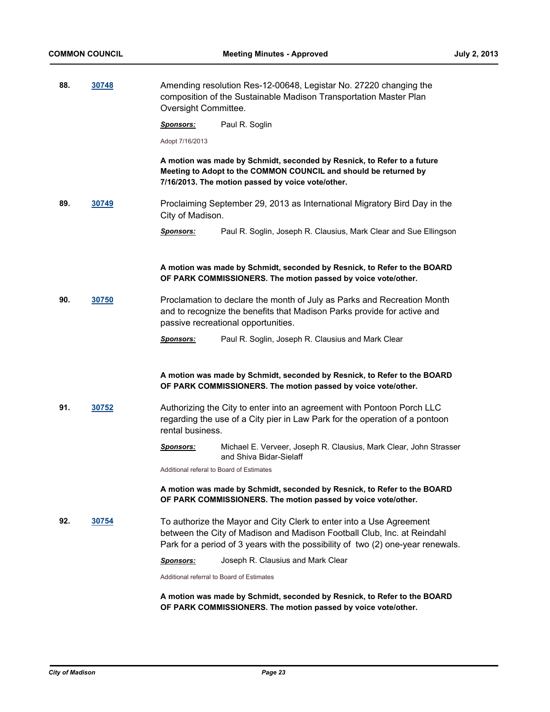**88. [30748](http://madison.legistar.com/gateway.aspx?m=l&id=/matter.aspx?key=33660)** Amending resolution Res-12-00648, Legistar No. 27220 changing the

|     |       | Oversight Committee. | composition of the Sustainable Madison Transportation Master Plan                                                                                                                                                                 |
|-----|-------|----------------------|-----------------------------------------------------------------------------------------------------------------------------------------------------------------------------------------------------------------------------------|
|     |       | <u>Sponsors:</u>     | Paul R. Soglin                                                                                                                                                                                                                    |
|     |       | Adopt 7/16/2013      |                                                                                                                                                                                                                                   |
|     |       |                      | A motion was made by Schmidt, seconded by Resnick, to Refer to a future<br>Meeting to Adopt to the COMMON COUNCIL and should be returned by<br>7/16/2013. The motion passed by voice vote/other.                                  |
| 89. | 30749 | City of Madison.     | Proclaiming September 29, 2013 as International Migratory Bird Day in the                                                                                                                                                         |
|     |       | Sponsors:            | Paul R. Soglin, Joseph R. Clausius, Mark Clear and Sue Ellingson                                                                                                                                                                  |
|     |       |                      | A motion was made by Schmidt, seconded by Resnick, to Refer to the BOARD<br>OF PARK COMMISSIONERS. The motion passed by voice vote/other.                                                                                         |
| 90. | 30750 |                      | Proclamation to declare the month of July as Parks and Recreation Month<br>and to recognize the benefits that Madison Parks provide for active and<br>passive recreational opportunities.                                         |
|     |       | Sponsors:            | Paul R. Soglin, Joseph R. Clausius and Mark Clear                                                                                                                                                                                 |
|     |       |                      | A motion was made by Schmidt, seconded by Resnick, to Refer to the BOARD<br>OF PARK COMMISSIONERS. The motion passed by voice vote/other.                                                                                         |
| 91. | 30752 | rental business.     | Authorizing the City to enter into an agreement with Pontoon Porch LLC<br>regarding the use of a City pier in Law Park for the operation of a pontoon                                                                             |
|     |       | <u>Sponsors:</u>     | Michael E. Verveer, Joseph R. Clausius, Mark Clear, John Strasser<br>and Shiva Bidar-Sielaff                                                                                                                                      |
|     |       |                      | Additional referal to Board of Estimates                                                                                                                                                                                          |
|     |       |                      | A motion was made by Schmidt, seconded by Resnick, to Refer to the BOARD<br>OF PARK COMMISSIONERS. The motion passed by voice vote/other.                                                                                         |
| 92. | 30754 |                      | To authorize the Mayor and City Clerk to enter into a Use Agreement<br>between the City of Madison and Madison Football Club, Inc. at Reindahl<br>Park for a period of 3 years with the possibility of two (2) one-year renewals. |
|     |       | Sponsors:            | Joseph R. Clausius and Mark Clear                                                                                                                                                                                                 |
|     |       |                      | Additional referral to Board of Estimates                                                                                                                                                                                         |
|     |       |                      | A motion was made by Schmidt, seconded by Resnick, to Refer to the BOARD<br>OF PARK COMMISSIONERS. The motion passed by voice vote/other.                                                                                         |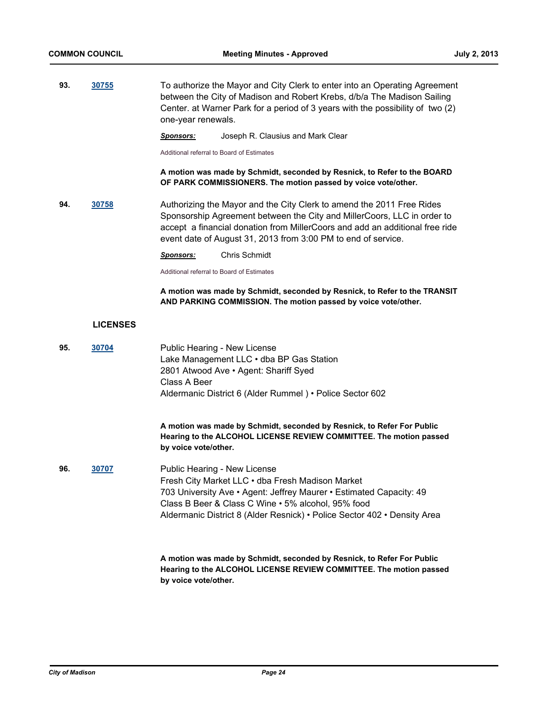**93. [30755](http://madison.legistar.com/gateway.aspx?m=l&id=/matter.aspx?key=33668)** To authorize the Mayor and City Clerk to enter into an Operating Agreement between the City of Madison and Robert Krebs, d/b/a The Madison Sailing Center. at Warner Park for a period of 3 years with the possibility of two (2) one-year renewals.

*Sponsors:* Joseph R. Clausius and Mark Clear

Additional referral to Board of Estimates

**A motion was made by Schmidt, seconded by Resnick, to Refer to the BOARD OF PARK COMMISSIONERS. The motion passed by voice vote/other.**

**94. [30758](http://madison.legistar.com/gateway.aspx?m=l&id=/matter.aspx?key=33671)** Authorizing the Mayor and the City Clerk to amend the 2011 Free Rides Sponsorship Agreement between the City and MillerCoors, LLC in order to accept a financial donation from MillerCoors and add an additional free ride event date of August 31, 2013 from 3:00 PM to end of service.

*Sponsors:* Chris Schmidt

Additional referral to Board of Estimates

**by voice vote/other.**

**A motion was made by Schmidt, seconded by Resnick, to Refer to the TRANSIT AND PARKING COMMISSION. The motion passed by voice vote/other.**

#### **LICENSES**

| 95. | 30704 | Public Hearing - New License<br>Lake Management LLC . dba BP Gas Station<br>2801 Atwood Ave • Agent: Shariff Syed<br>Class A Beer<br>Aldermanic District 6 (Alder Rummel) • Police Sector 602                                                                                             |
|-----|-------|-------------------------------------------------------------------------------------------------------------------------------------------------------------------------------------------------------------------------------------------------------------------------------------------|
|     |       | A motion was made by Schmidt, seconded by Resnick, to Refer For Public<br>Hearing to the ALCOHOL LICENSE REVIEW COMMITTEE. The motion passed<br>by voice vote/other.                                                                                                                      |
| 96. | 30707 | Public Hearing - New License<br>Fresh City Market LLC . dba Fresh Madison Market<br>703 University Ave • Agent: Jeffrey Maurer • Estimated Capacity: 49<br>Class B Beer & Class C Wine • 5% alcohol, 95% food<br>Aldermanic District 8 (Alder Resnick) • Police Sector 402 • Density Area |
|     |       | A motion was made by Schmidt, seconded by Resnick, to Refer For Public<br>Hearing to the ALCOHOL LICENSE REVIEW COMMITTEE. The motion passed                                                                                                                                              |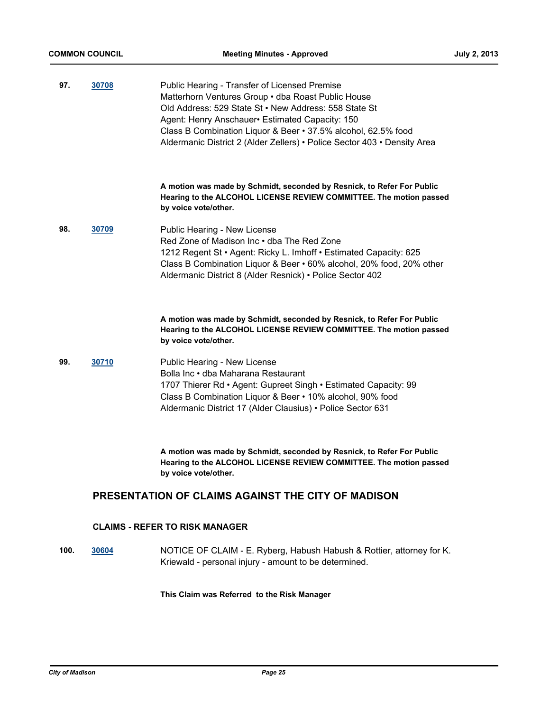| 97. | 30708 | Public Hearing - Transfer of Licensed Premise<br>Matterhorn Ventures Group . dba Roast Public House<br>Old Address: 529 State St . New Address: 558 State St<br>Agent: Henry Anschauer • Estimated Capacity: 150<br>Class B Combination Liquor & Beer • 37.5% alcohol, 62.5% food<br>Aldermanic District 2 (Alder Zellers) • Police Sector 403 • Density Area |
|-----|-------|---------------------------------------------------------------------------------------------------------------------------------------------------------------------------------------------------------------------------------------------------------------------------------------------------------------------------------------------------------------|
|     |       | A motion was made by Schmidt, seconded by Resnick, to Refer For Public<br>Hearing to the ALCOHOL LICENSE REVIEW COMMITTEE. The motion passed<br>by voice vote/other.                                                                                                                                                                                          |
| 98. | 30709 | Public Hearing - New License<br>Red Zone of Madison Inc • dba The Red Zone<br>1212 Regent St · Agent: Ricky L. Imhoff · Estimated Capacity: 625<br>Class B Combination Liquor & Beer • 60% alcohol, 20% food, 20% other<br>Aldermanic District 8 (Alder Resnick) • Police Sector 402                                                                          |
|     |       | A motion was made by Schmidt, seconded by Resnick, to Refer For Public<br>Hearing to the ALCOHOL LICENSE REVIEW COMMITTEE. The motion passed<br>by voice vote/other.                                                                                                                                                                                          |
| 99. | 30710 | Public Hearing - New License<br>Bolla Inc • dba Maharana Restaurant<br>1707 Thierer Rd • Agent: Gupreet Singh • Estimated Capacity: 99<br>Class B Combination Liquor & Beer • 10% alcohol, 90% food<br>Aldermanic District 17 (Alder Clausius) • Police Sector 631                                                                                            |
|     |       | A motion was made by Schmidt, seconded by Resnick, to Refer For Public<br>Hearing to the ALCOHOL LICENSE REVIEW COMMITTEE. The motion passed<br>by voice vote/other.                                                                                                                                                                                          |

## **PRESENTATION OF CLAIMS AGAINST THE CITY OF MADISON**

## **CLAIMS - REFER TO RISK MANAGER**

**100. [30604](http://madison.legistar.com/gateway.aspx?m=l&id=/matter.aspx?key=33511)** NOTICE OF CLAIM - E. Ryberg, Habush Habush & Rottier, attorney for K. Kriewald - personal injury - amount to be determined.

#### **This Claim was Referred to the Risk Manager**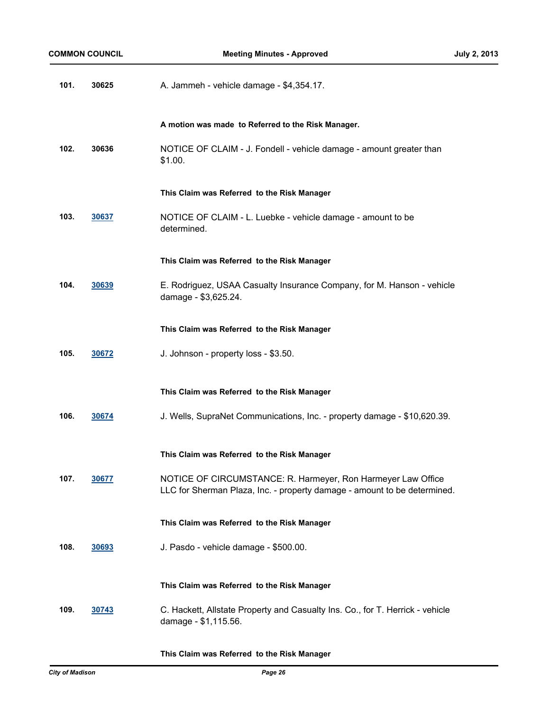| 101. | 30625 | A. Jammeh - vehicle damage - \$4,354.17.                                                                                                 |
|------|-------|------------------------------------------------------------------------------------------------------------------------------------------|
|      |       | A motion was made to Referred to the Risk Manager.                                                                                       |
| 102. | 30636 | NOTICE OF CLAIM - J. Fondell - vehicle damage - amount greater than<br>\$1.00.                                                           |
|      |       | This Claim was Referred to the Risk Manager                                                                                              |
| 103. | 30637 | NOTICE OF CLAIM - L. Luebke - vehicle damage - amount to be<br>determined.                                                               |
|      |       | This Claim was Referred to the Risk Manager                                                                                              |
| 104. | 30639 | E. Rodriguez, USAA Casualty Insurance Company, for M. Hanson - vehicle<br>damage - \$3,625.24.                                           |
|      |       | This Claim was Referred to the Risk Manager                                                                                              |
| 105. | 30672 | J. Johnson - property loss - \$3.50.                                                                                                     |
|      |       | This Claim was Referred to the Risk Manager                                                                                              |
| 106. | 30674 | J. Wells, SupraNet Communications, Inc. - property damage - \$10,620.39.                                                                 |
|      |       | This Claim was Referred to the Risk Manager                                                                                              |
| 107. | 30677 | NOTICE OF CIRCUMSTANCE: R. Harmeyer, Ron Harmeyer Law Office<br>LLC for Sherman Plaza, Inc. - property damage - amount to be determined. |
|      |       | This Claim was Referred to the Risk Manager                                                                                              |
| 108. | 30693 | J. Pasdo - vehicle damage - \$500.00.                                                                                                    |
|      |       | This Claim was Referred to the Risk Manager                                                                                              |
| 109. | 30743 | C. Hackett, Allstate Property and Casualty Ins. Co., for T. Herrick - vehicle<br>damage - \$1,115.56.                                    |

**This Claim was Referred to the Risk Manager**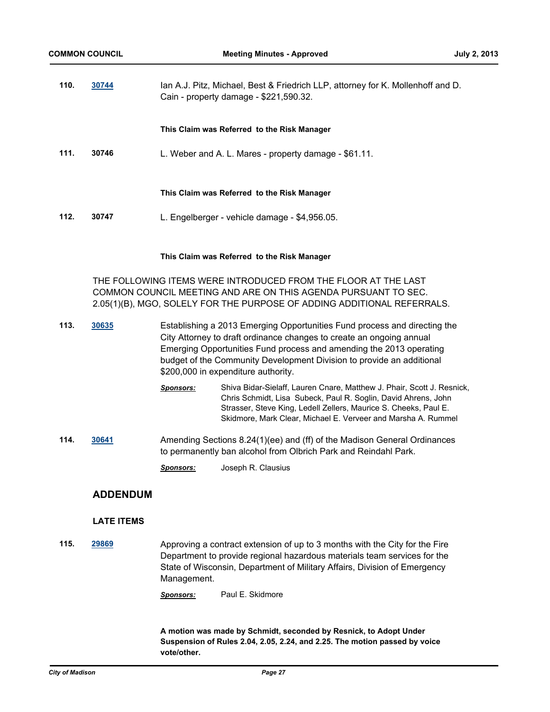| 110. | 30744                                                                                                                            | Ian A.J. Pitz, Michael, Best & Friedrich LLP, attorney for K. Mollenhoff and D.<br>Cain - property damage - \$221,590.32. |  |
|------|----------------------------------------------------------------------------------------------------------------------------------|---------------------------------------------------------------------------------------------------------------------------|--|
|      |                                                                                                                                  | This Claim was Referred to the Risk Manager                                                                               |  |
| 111. | 30746                                                                                                                            | L. Weber and A. L. Mares - property damage - \$61.11.                                                                     |  |
|      |                                                                                                                                  | This Claim was Referred to the Risk Manager                                                                               |  |
| 112. | 30747                                                                                                                            | L. Engelberger - vehicle damage - \$4,956.05.                                                                             |  |
|      |                                                                                                                                  | This Claim was Referred to the Risk Manager                                                                               |  |
|      | THE FOLLOWING ITEMS WERE INTRODUCED FROM THE FLOOR AT THE LAST<br>COMMON COUNCIL MEETING AND ARE ON THIS AGENDA PURSUANT TO SEC. |                                                                                                                           |  |

2.05(1)(B), MGO, SOLELY FOR THE PURPOSE OF ADDING ADDITIONAL REFERRALS. **113. [30635](http://madison.legistar.com/gateway.aspx?m=l&id=/matter.aspx?key=33543)** Establishing a 2013 Emerging Opportunities Fund process and directing the

- City Attorney to draft ordinance changes to create an ongoing annual Emerging Opportunities Fund process and amending the 2013 operating budget of the Community Development Division to provide an additional \$200,000 in expenditure authority.
	- *Sponsors:* Shiva Bidar-Sielaff, Lauren Cnare, Matthew J. Phair, Scott J. Resnick, Chris Schmidt, Lisa Subeck, Paul R. Soglin, David Ahrens, John Strasser, Steve King, Ledell Zellers, Maurice S. Cheeks, Paul E. Skidmore, Mark Clear, Michael E. Verveer and Marsha A. Rummel
- **114. [30641](http://madison.legistar.com/gateway.aspx?m=l&id=/matter.aspx?key=33552)** Amending Sections 8.24(1)(ee) and (ff) of the Madison General Ordinances to permanently ban alcohol from Olbrich Park and Reindahl Park.
	- *Sponsors:* Joseph R. Clausius

## **ADDENDUM**

#### **LATE ITEMS**

**115. [29869](http://madison.legistar.com/gateway.aspx?m=l&id=/matter.aspx?key=32741)** Approving a contract extension of up to 3 months with the City for the Fire Department to provide regional hazardous materials team services for the State of Wisconsin, Department of Military Affairs, Division of Emergency Management.

*Sponsors:* Paul E. Skidmore

**A motion was made by Schmidt, seconded by Resnick, to Adopt Under Suspension of Rules 2.04, 2.05, 2.24, and 2.25. The motion passed by voice vote/other.**